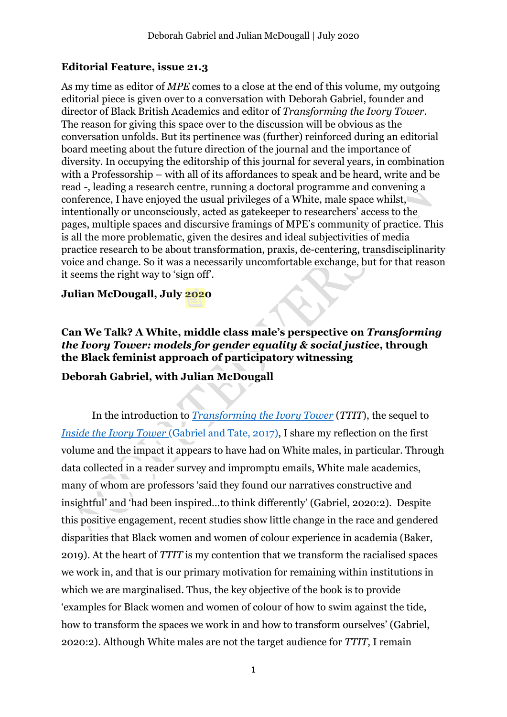# **Editorial Feature, issue 21.3**

As my time as editor of *MPE* comes to a close at the end of this volume, my outgoing editorial piece is given over to a conversation with Deborah Gabriel, founder and director of Black British Academics and editor of *Transforming the Ivory Tower*. The reason for giving this space over to the discussion will be obvious as the conversation unfolds. But its pertinence was (further) reinforced during an editorial board meeting about the future direction of the journal and the importance of diversity. In occupying the editorship of this journal for several years, in combination with a Professorship – with all of its affordances to speak and be heard, write and be read -, leading a research centre, running a doctoral programme and convening a conference, I have enjoyed the usual privileges of a White, male space whilst, intentionally or unconsciously, acted as gatekeeper to researchers' access to the pages, multiple spaces and discursive framings of MPE's community of practice. This is all the more problematic, given the desires and ideal subjectivities of media practice research to be about transformation, praxis, de-centering, transdisciplinarity voice and change. So it was a necessarily uncomfortable exchange, but for that reason it seems the right way to 'sign off'.

### **Julian McDougall, July 2020**

**Can We Talk? A White, middle class male's perspective on** *Transforming the Ivory Tower: models for gender equality & social justice***, through the Black feminist approach of participatory witnessing**

# **Deborah Gabriel, with Julian McDougall**

In the introduction to *[Transforming the Ivory Tower](https://blackbritishacademics.co.uk/ivory-tower-project/transforming-the-ivory-tower/)* (*TTIT*), the sequel to *[Inside the Ivory Tower](https://blackbritishacademics.co.uk/ivory-tower-project/inside-the-ivory-tower/)* (Gabriel and Tate, 2017), I share my reflection on the first volume and the impact it appears to have had on White males, in particular. Through data collected in a reader survey and impromptu emails, White male academics, many of whom are professors 'said they found our narratives constructive and insightful' and 'had been inspired…to think differently' (Gabriel, 2020:2). Despite this positive engagement, recent studies show little change in the race and gendered disparities that Black women and women of colour experience in academia (Baker, 2019). At the heart of *TTIT* is my contention that we transform the racialised spaces we work in, and that is our primary motivation for remaining within institutions in which we are marginalised. Thus, the key objective of the book is to provide 'examples for Black women and women of colour of how to swim against the tide, how to transform the spaces we work in and how to transform ourselves' (Gabriel, 2020:2). Although White males are not the target audience for *TTIT*, I remain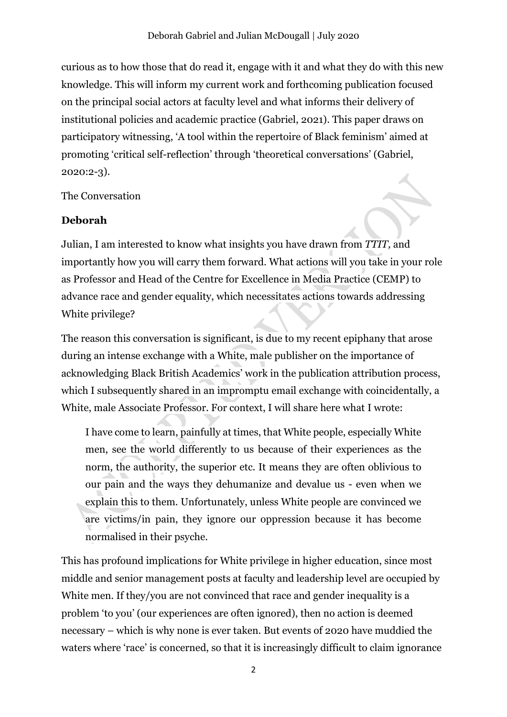curious as to how those that do read it, engage with it and what they do with this new knowledge. This will inform my current work and forthcoming publication focused on the principal social actors at faculty level and what informs their delivery of institutional policies and academic practice (Gabriel, 2021). This paper draws on participatory witnessing, 'A tool within the repertoire of Black feminism' aimed at promoting 'critical self-reflection' through 'theoretical conversations' (Gabriel, 2020:2-3).

The Conversation

#### **Deborah**

Julian, I am interested to know what insights you have drawn from *TTIT,* and importantly how you will carry them forward. What actions will you take in your role as Professor and Head of the Centre for Excellence in Media Practice (CEMP) to advance race and gender equality, which necessitates actions towards addressing White privilege?

The reason this conversation is significant, is due to my recent epiphany that arose during an intense exchange with a White, male publisher on the importance of acknowledging Black British Academics' work in the publication attribution process, which I subsequently shared in an impromptu email exchange with coincidentally, a White, male Associate Professor. For context, I will share here what I wrote:

I have come to learn, painfully at times, that White people, especially White men, see the world differently to us because of their experiences as the norm, the authority, the superior etc. It means they are often oblivious to our pain and the ways they dehumanize and devalue us - even when we explain this to them. Unfortunately, unless White people are convinced we are victims/in pain, they ignore our oppression because it has become normalised in their psyche.

This has profound implications for White privilege in higher education, since most middle and senior management posts at faculty and leadership level are occupied by White men. If they/you are not convinced that race and gender inequality is a problem 'to you' (our experiences are often ignored), then no action is deemed necessary – which is why none is ever taken. But events of 2020 have muddied the waters where 'race' is concerned, so that it is increasingly difficult to claim ignorance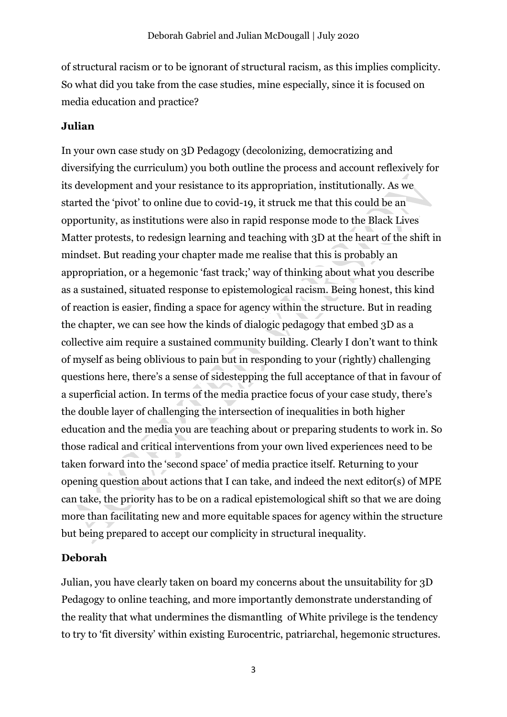of structural racism or to be ignorant of structural racism, as this implies complicity. So what did you take from the case studies, mine especially, since it is focused on media education and practice?

### **Julian**

In your own case study on 3D Pedagogy (decolonizing, democratizing and diversifying the curriculum) you both outline the process and account reflexively for its development and your resistance to its appropriation, institutionally. As we started the 'pivot' to online due to covid-19, it struck me that this could be an opportunity, as institutions were also in rapid response mode to the Black Lives Matter protests, to redesign learning and teaching with 3D at the heart of the shift in mindset. But reading your chapter made me realise that this is probably an appropriation, or a hegemonic 'fast track;' way of thinking about what you describe as a sustained, situated response to epistemological racism. Being honest, this kind of reaction is easier, finding a space for agency within the structure. But in reading the chapter, we can see how the kinds of dialogic pedagogy that embed 3D as a collective aim require a sustained community building. Clearly I don't want to think of myself as being oblivious to pain but in responding to your (rightly) challenging questions here, there's a sense of sidestepping the full acceptance of that in favour of a superficial action. In terms of the media practice focus of your case study, there's the double layer of challenging the intersection of inequalities in both higher education and the media you are teaching about or preparing students to work in. So those radical and critical interventions from your own lived experiences need to be taken forward into the 'second space' of media practice itself. Returning to your opening question about actions that I can take, and indeed the next editor(s) of MPE can take, the priority has to be on a radical epistemological shift so that we are doing more than facilitating new and more equitable spaces for agency within the structure but being prepared to accept our complicity in structural inequality.

# **Deborah**

Julian, you have clearly taken on board my concerns about the unsuitability for 3D Pedagogy to online teaching, and more importantly demonstrate understanding of the reality that what undermines the dismantling of White privilege is the tendency to try to 'fit diversity' within existing Eurocentric, patriarchal, hegemonic structures.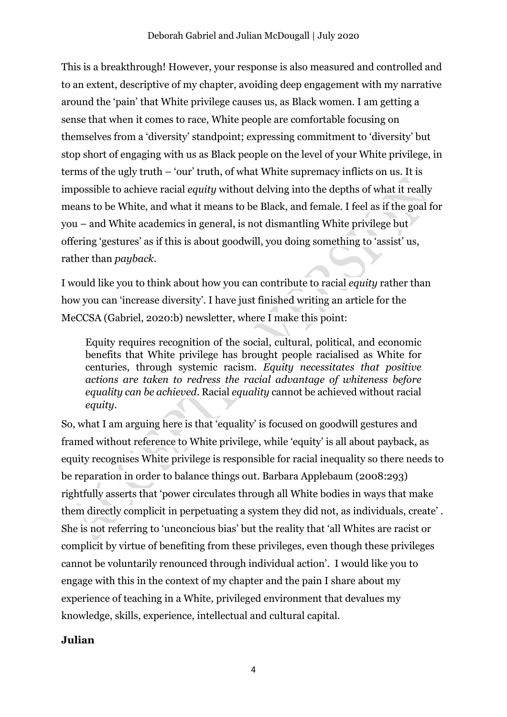This is a breakthrough! However, your response is also measured and controlled and to an extent, descriptive of my chapter, avoiding deep engagement with my narrative around the 'pain' that White privilege causes us, as Black women. I am getting a sense that when it comes to race, White people are comfortable focusing on themselves from a 'diversity' standpoint; expressing commitment to 'diversity' but stop short of engaging with us as Black people on the level of your White privilege, in terms of the ugly truth – 'our' truth, of what White supremacy inflicts on us. It is impossible to achieve racial *equity* without delving into the depths of what it really means to be White, and what it means to be Black, and female. I feel as if the goal for you – and White academics in general, is not dismantling White privilege but offering 'gestures' as if this is about goodwill, you doing something to 'assist' us, rather than *payback*.

I would like you to think about how you can contribute to racial *equity* rather than how you can 'increase diversity'. I have just finished writing an article for the MeCCSA (Gabriel, 2020:b) newsletter, where I make this point:

Equity requires recognition of the social, cultural, political, and economic benefits that White privilege has brought people racialised as White for centuries, through systemic racism. *Equity necessitates that positive actions are taken to redress the racial advantage of whiteness before equality can be achieved*. Racial *equality* cannot be achieved without racial *equity*.

So, what I am arguing here is that 'equality' is focused on goodwill gestures and framed without reference to White privilege, while 'equity' is all about payback, as equity recognises White privilege is responsible for racial inequality so there needs to be reparation in order to balance things out. Barbara Applebaum (2008:293) rightfully asserts that 'power circulates through all White bodies in ways that make them directly complicit in perpetuating a system they did not, as individuals, create' . She is not referring to 'unconcious bias' but the reality that 'all Whites are racist or complicit by virtue of benefiting from these privileges, even though these privileges cannot be voluntarily renounced through individual action'. I would like you to engage with this in the context of my chapter and the pain I share about my experience of teaching in a White, privileged environment that devalues my knowledge, skills, experience, intellectual and cultural capital.

#### **Julian**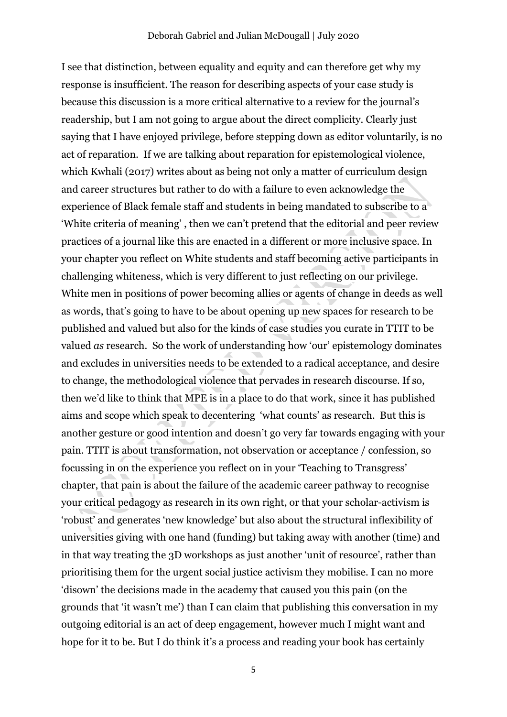I see that distinction, between equality and equity and can therefore get why my response is insufficient. The reason for describing aspects of your case study is because this discussion is a more critical alternative to a review for the journal's readership, but I am not going to argue about the direct complicity. Clearly just saying that I have enjoyed privilege, before stepping down as editor voluntarily, is no act of reparation. If we are talking about reparation for epistemological violence, which Kwhali (2017) writes about as being not only a matter of curriculum design and career structures but rather to do with a failure to even acknowledge the experience of Black female staff and students in being mandated to subscribe to a 'White criteria of meaning' , then we can't pretend that the editorial and peer review practices of a journal like this are enacted in a different or more inclusive space. In your chapter you reflect on White students and staff becoming active participants in challenging whiteness, which is very different to just reflecting on our privilege. White men in positions of power becoming allies or agents of change in deeds as well as words, that's going to have to be about opening up new spaces for research to be published and valued but also for the kinds of case studies you curate in TTIT to be valued *as* research. So the work of understanding how 'our' epistemology dominates and excludes in universities needs to be extended to a radical acceptance, and desire to change, the methodological violence that pervades in research discourse. If so, then we'd like to think that MPE is in a place to do that work, since it has published aims and scope which speak to decentering 'what counts' as research. But this is another gesture or good intention and doesn't go very far towards engaging with your pain. TTIT is about transformation, not observation or acceptance / confession, so focussing in on the experience you reflect on in your 'Teaching to Transgress' chapter, that pain is about the failure of the academic career pathway to recognise your critical pedagogy as research in its own right, or that your scholar-activism is 'robust' and generates 'new knowledge' but also about the structural inflexibility of universities giving with one hand (funding) but taking away with another (time) and in that way treating the 3D workshops as just another 'unit of resource', rather than prioritising them for the urgent social justice activism they mobilise. I can no more 'disown' the decisions made in the academy that caused you this pain (on the grounds that 'it wasn't me') than I can claim that publishing this conversation in my outgoing editorial is an act of deep engagement, however much I might want and hope for it to be. But I do think it's a process and reading your book has certainly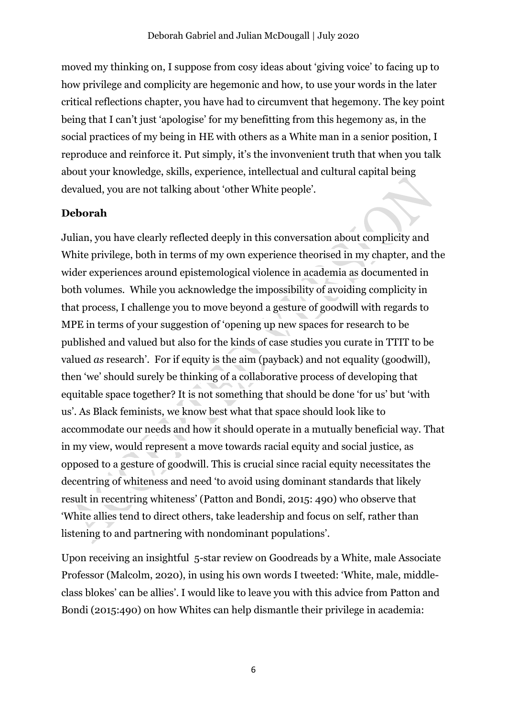moved my thinking on, I suppose from cosy ideas about 'giving voice' to facing up to how privilege and complicity are hegemonic and how, to use your words in the later critical reflections chapter, you have had to circumvent that hegemony. The key point being that I can't just 'apologise' for my benefitting from this hegemony as, in the social practices of my being in HE with others as a White man in a senior position, I reproduce and reinforce it. Put simply, it's the invonvenient truth that when you talk about your knowledge, skills, experience, intellectual and cultural capital being devalued, you are not talking about 'other White people'.

# **Deborah**

Julian, you have clearly reflected deeply in this conversation about complicity and White privilege, both in terms of my own experience theorised in my chapter, and the wider experiences around epistemological violence in academia as documented in both volumes. While you acknowledge the impossibility of avoiding complicity in that process, I challenge you to move beyond a gesture of goodwill with regards to MPE in terms of your suggestion of 'opening up new spaces for research to be published and valued but also for the kinds of case studies you curate in TTIT to be valued *as* research'. For if equity is the aim (payback) and not equality (goodwill), then 'we' should surely be thinking of a collaborative process of developing that equitable space together? It is not something that should be done 'for us' but 'with us'. As Black feminists, we know best what that space should look like to accommodate our needs and how it should operate in a mutually beneficial way. That in my view, would represent a move towards racial equity and social justice, as opposed to a gesture of goodwill. This is crucial since racial equity necessitates the decentring of whiteness and need 'to avoid using dominant standards that likely result in recentring whiteness' (Patton and Bondi, 2015: 490) who observe that 'White allies tend to direct others, take leadership and focus on self, rather than listening to and partnering with nondominant populations'.

Upon receiving an insightful 5-star review on Goodreads by a White, male Associate Professor (Malcolm, 2020), in using his own words I tweeted: 'White, male, middleclass blokes' can be allies'. I would like to leave you with this advice from Patton and Bondi (2015:490) on how Whites can help dismantle their privilege in academia: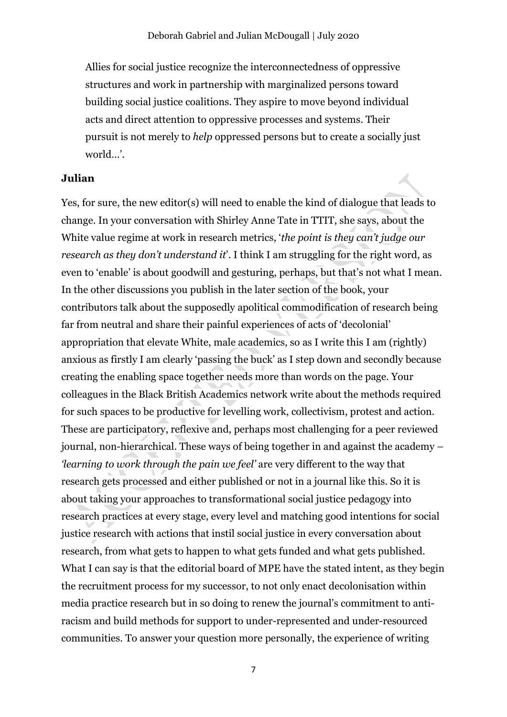Allies for social justice recognize the interconnectedness of oppressive structures and work in partnership with marginalized persons toward building social justice coalitions. They aspire to move beyond individual acts and direct attention to oppressive processes and systems. Their pursuit is not merely to *help* oppressed persons but to create a socially just world…'.

#### **Julian**

Yes, for sure, the new editor(s) will need to enable the kind of dialogue that leads to change. In your conversation with Shirley Anne Tate in TTIT, she says, about the White value regime at work in research metrics, '*the point is they can't judge our research as they don't understand it*'. I think I am struggling for the right word, as even to 'enable' is about goodwill and gesturing, perhaps, but that's not what I mean. In the other discussions you publish in the later section of the book, your contributors talk about the supposedly apolitical commodification of research being far from neutral and share their painful experiences of acts of 'decolonial' appropriation that elevate White, male academics, so as I write this I am (rightly) anxious as firstly I am clearly 'passing the buck' as I step down and secondly because creating the enabling space together needs more than words on the page. Your colleagues in the Black British Academics network write about the methods required for such spaces to be productive for levelling work, collectivism, protest and action. These are participatory, reflexive and, perhaps most challenging for a peer reviewed journal, non-hierarchical. These ways of being together in and against the academy – *'learning to work through the pain we feel'* are very different to the way that research gets processed and either published or not in a journal like this. So it is about taking your approaches to transformational social justice pedagogy into research practices at every stage, every level and matching good intentions for social justice research with actions that instil social justice in every conversation about research, from what gets to happen to what gets funded and what gets published. What I can say is that the editorial board of MPE have the stated intent, as they begin the recruitment process for my successor, to not only enact decolonisation within media practice research but in so doing to renew the journal's commitment to antiracism and build methods for support to under-represented and under-resourced communities. To answer your question more personally, the experience of writing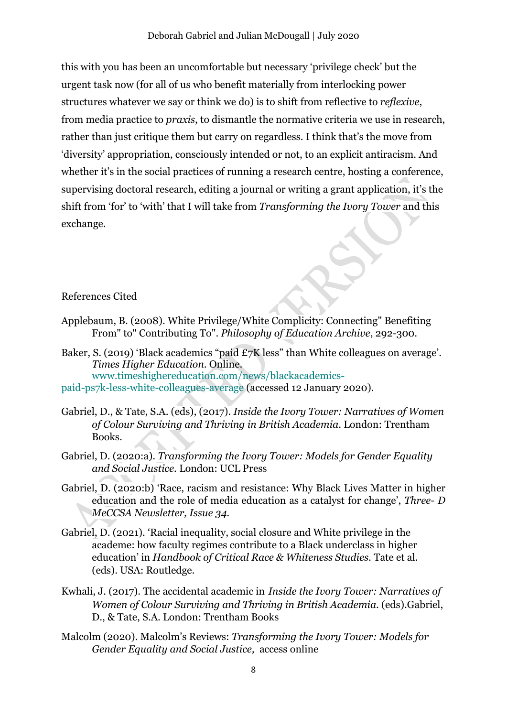this with you has been an uncomfortable but necessary 'privilege check' but the urgent task now (for all of us who benefit materially from interlocking power structures whatever we say or think we do) is to shift from reflective to *reflexive*, from media practice to *praxis*, to dismantle the normative criteria we use in research, rather than just critique them but carry on regardless. I think that's the move from 'diversity' appropriation, consciously intended or not, to an explicit antiracism. And whether it's in the social practices of running a research centre, hosting a conference, supervising doctoral research, editing a journal or writing a grant application, it's the shift from 'for' to 'with' that I will take from *Transforming the Ivory Tower* and this exchange.

#### References Cited

- Applebaum, B. (2008). White Privilege/White Complicity: Connecting" Benefiting From" to" Contributing To". *Philosophy of Education Archive*, 292-300.
- Baker, S. (2019) 'Black academics "paid £7K less" than White colleagues on average'. *Times Higher Education*. Online. www.timeshighereducation.com/news/blackacademics-
- paid-ps7k-less-white-colleagues-average (accessed 12 January 2020).
- Gabriel, D., & Tate, S.A. (eds), (2017). *Inside the Ivory Tower: Narratives of Women of Colour Surviving and Thriving in British Academia*. London: Trentham Books.
- Gabriel, D. (2020:a). *Transforming the Ivory Tower: Models for Gender Equality and Social Justice.* London: UCL Press
- Gabriel, D. (2020:b) 'Race, racism and resistance: Why Black Lives Matter in higher education and the role of media education as a catalyst for change', *Three- D MeCCSA Newsletter, Issue 34.*
- Gabriel, D. (2021). 'Racial inequality, social closure and White privilege in the academe: how faculty regimes contribute to a Black underclass in higher education' in *Handbook of Critical Race & Whiteness Studies.* Tate et al. (eds). USA: Routledge.
- Kwhali, J. (2017). The accidental academic in *Inside the Ivory Tower: Narratives of Women of Colour Surviving and Thriving in British Academia*. (eds).Gabriel, D., & Tate, S.A. London: Trentham Books
- Malcolm (2020). Malcolm's Reviews: *Transforming the Ivory Tower: Models for Gender Equality and Social Justice,* access online